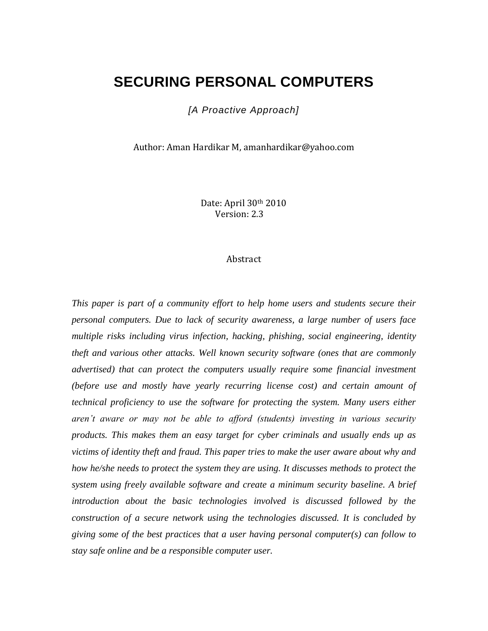# **SECURING PERSONAL COMPUTERS**

*[A Proactive Approach]*

Author: Aman Hardikar M, amanhardikar@yahoo.com

Date: April 30th 2010 Version: 2.3

#### Abstract

*This paper is part of a community effort to help home users and students secure their personal computers. Due to lack of security awareness, a large number of users face multiple risks including virus infection, hacking, phishing, social engineering, identity theft and various other attacks. Well known security software (ones that are commonly advertised) that can protect the computers usually require some financial investment (before use and mostly have yearly recurring license cost) and certain amount of technical proficiency to use the software for protecting the system. Many users either aren't aware or may not be able to afford (students) investing in various security products. This makes them an easy target for cyber criminals and usually ends up as victims of identity theft and fraud. This paper tries to make the user aware about why and how he/she needs to protect the system they are using. It discusses methods to protect the system using freely available software and create a minimum security baseline. A brief introduction about the basic technologies involved is discussed followed by the construction of a secure network using the technologies discussed. It is concluded by giving some of the best practices that a user having personal computer(s) can follow to stay safe online and be a responsible computer user.*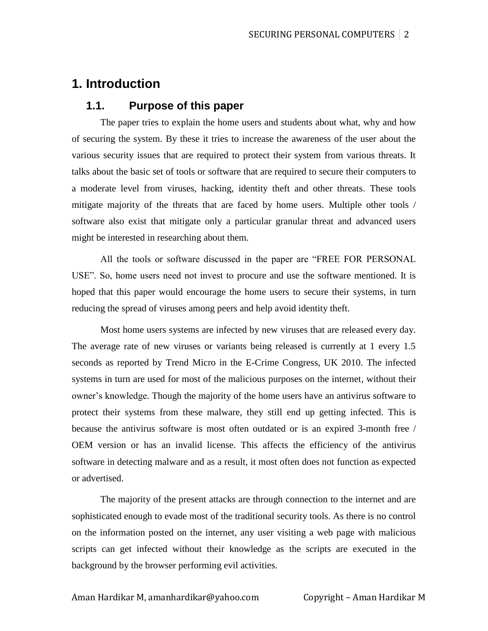# **1. Introduction**

### **1.1. Purpose of this paper**

The paper tries to explain the home users and students about what, why and how of securing the system. By these it tries to increase the awareness of the user about the various security issues that are required to protect their system from various threats. It talks about the basic set of tools or software that are required to secure their computers to a moderate level from viruses, hacking, identity theft and other threats. These tools mitigate majority of the threats that are faced by home users. Multiple other tools / software also exist that mitigate only a particular granular threat and advanced users might be interested in researching about them.

All the tools or software discussed in the paper are "FREE FOR PERSONAL USE". So, home users need not invest to procure and use the software mentioned. It is hoped that this paper would encourage the home users to secure their systems, in turn reducing the spread of viruses among peers and help avoid identity theft.

Most home users systems are infected by new viruses that are released every day. The average rate of new viruses or variants being released is currently at 1 every 1.5 seconds as reported by Trend Micro in the E-Crime Congress, UK 2010. The infected systems in turn are used for most of the malicious purposes on the internet, without their owner's knowledge. Though the majority of the home users have an antivirus software to protect their systems from these malware, they still end up getting infected. This is because the antivirus software is most often outdated or is an expired 3-month free / OEM version or has an invalid license. This affects the efficiency of the antivirus software in detecting malware and as a result, it most often does not function as expected or advertised.

The majority of the present attacks are through connection to the internet and are sophisticated enough to evade most of the traditional security tools. As there is no control on the information posted on the internet, any user visiting a web page with malicious scripts can get infected without their knowledge as the scripts are executed in the background by the browser performing evil activities.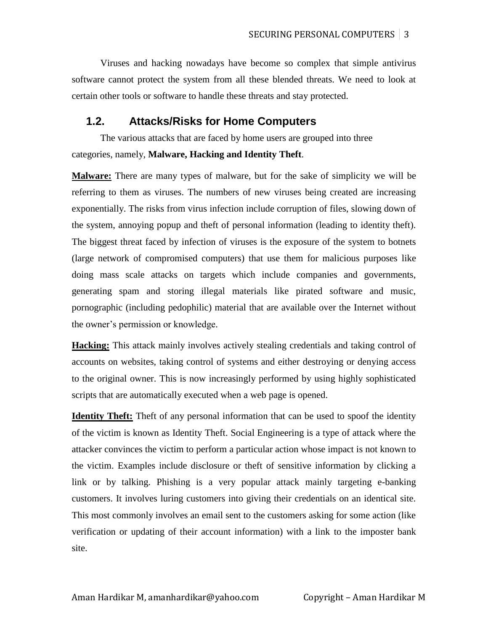Viruses and hacking nowadays have become so complex that simple antivirus software cannot protect the system from all these blended threats. We need to look at certain other tools or software to handle these threats and stay protected.

#### **1.2. Attacks/Risks for Home Computers**

The various attacks that are faced by home users are grouped into three categories, namely, **Malware, Hacking and Identity Theft**.

**Malware:** There are many types of malware, but for the sake of simplicity we will be referring to them as viruses. The numbers of new viruses being created are increasing exponentially. The risks from virus infection include corruption of files, slowing down of the system, annoying popup and theft of personal information (leading to identity theft). The biggest threat faced by infection of viruses is the exposure of the system to botnets (large network of compromised computers) that use them for malicious purposes like doing mass scale attacks on targets which include companies and governments, generating spam and storing illegal materials like pirated software and music, pornographic (including pedophilic) material that are available over the Internet without the owner's permission or knowledge.

**Hacking:** This attack mainly involves actively stealing credentials and taking control of accounts on websites, taking control of systems and either destroying or denying access to the original owner. This is now increasingly performed by using highly sophisticated scripts that are automatically executed when a web page is opened.

**Identity Theft:** Theft of any personal information that can be used to spoof the identity of the victim is known as Identity Theft. Social Engineering is a type of attack where the attacker convinces the victim to perform a particular action whose impact is not known to the victim. Examples include disclosure or theft of sensitive information by clicking a link or by talking. Phishing is a very popular attack mainly targeting e-banking customers. It involves luring customers into giving their credentials on an identical site. This most commonly involves an email sent to the customers asking for some action (like verification or updating of their account information) with a link to the imposter bank site.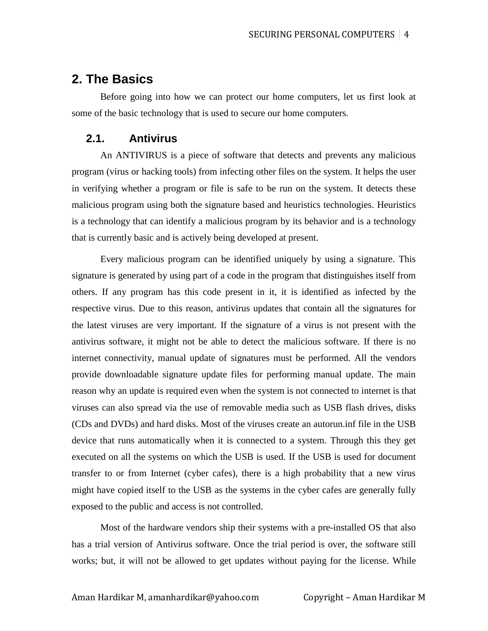## **2. The Basics**

Before going into how we can protect our home computers, let us first look at some of the basic technology that is used to secure our home computers.

### **2.1. Antivirus**

An ANTIVIRUS is a piece of software that detects and prevents any malicious program (virus or hacking tools) from infecting other files on the system. It helps the user in verifying whether a program or file is safe to be run on the system. It detects these malicious program using both the signature based and heuristics technologies. Heuristics is a technology that can identify a malicious program by its behavior and is a technology that is currently basic and is actively being developed at present.

Every malicious program can be identified uniquely by using a signature. This signature is generated by using part of a code in the program that distinguishes itself from others. If any program has this code present in it, it is identified as infected by the respective virus. Due to this reason, antivirus updates that contain all the signatures for the latest viruses are very important. If the signature of a virus is not present with the antivirus software, it might not be able to detect the malicious software. If there is no internet connectivity, manual update of signatures must be performed. All the vendors provide downloadable signature update files for performing manual update. The main reason why an update is required even when the system is not connected to internet is that viruses can also spread via the use of removable media such as USB flash drives, disks (CDs and DVDs) and hard disks. Most of the viruses create an autorun.inf file in the USB device that runs automatically when it is connected to a system. Through this they get executed on all the systems on which the USB is used. If the USB is used for document transfer to or from Internet (cyber cafes), there is a high probability that a new virus might have copied itself to the USB as the systems in the cyber cafes are generally fully exposed to the public and access is not controlled.

Most of the hardware vendors ship their systems with a pre-installed OS that also has a trial version of Antivirus software. Once the trial period is over, the software still works; but, it will not be allowed to get updates without paying for the license. While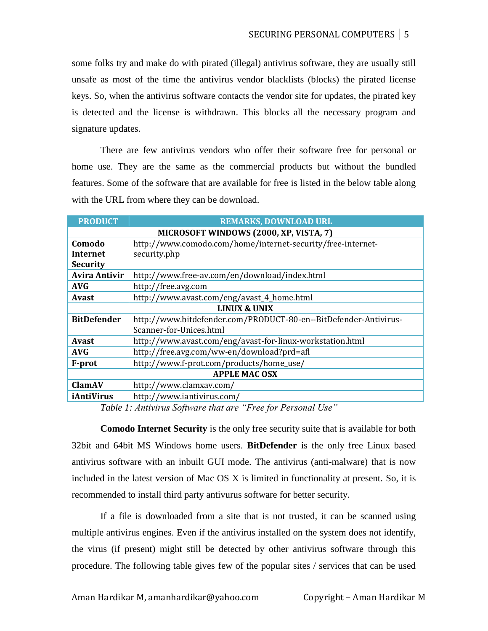some folks try and make do with pirated (illegal) antivirus software, they are usually still unsafe as most of the time the antivirus vendor blacklists (blocks) the pirated license keys. So, when the antivirus software contacts the vendor site for updates, the pirated key is detected and the license is withdrawn. This blocks all the necessary program and signature updates.

There are few antivirus vendors who offer their software free for personal or home use. They are the same as the commercial products but without the bundled features. Some of the software that are available for free is listed in the below table along with the URL from where they can be download.

| <b>PRODUCT</b>                         | <b>REMARKS, DOWNLOAD URL</b>                                     |  |  |  |  |
|----------------------------------------|------------------------------------------------------------------|--|--|--|--|
| MICROSOFT WINDOWS (2000, XP, VISTA, 7) |                                                                  |  |  |  |  |
| Comodo                                 | http://www.comodo.com/home/internet-security/free-internet-      |  |  |  |  |
| Internet                               | security.php                                                     |  |  |  |  |
| <b>Security</b>                        |                                                                  |  |  |  |  |
| <b>Avira Antivir</b>                   | http://www.free-av.com/en/download/index.html                    |  |  |  |  |
| <b>AVG</b>                             | http://free.avg.com                                              |  |  |  |  |
| <b>Avast</b>                           | http://www.avast.com/eng/avast_4_home.html                       |  |  |  |  |
| <b>LINUX &amp; UNIX</b>                |                                                                  |  |  |  |  |
| <b>BitDefender</b>                     | http://www.bitdefender.com/PRODUCT-80-en--BitDefender-Antivirus- |  |  |  |  |
|                                        | Scanner-for-Unices.html                                          |  |  |  |  |
| <b>Avast</b>                           | http://www.avast.com/eng/avast-for-linux-workstation.html        |  |  |  |  |
| <b>AVG</b>                             | http://free.avg.com/ww-en/download?prd=afl                       |  |  |  |  |
| F-prot                                 | http://www.f-prot.com/products/home_use/                         |  |  |  |  |
| <b>APPLE MAC OSX</b>                   |                                                                  |  |  |  |  |
| <b>ClamAV</b>                          | http://www.clamxav.com/                                          |  |  |  |  |
| iAntiVirus                             | http://www.iantivirus.com/                                       |  |  |  |  |

*Table 1: Antivirus Software that are "Free for Personal Use"*

**Comodo Internet Security** is the only free security suite that is available for both 32bit and 64bit MS Windows home users. **BitDefender** is the only free Linux based antivirus software with an inbuilt GUI mode. The antivirus (anti-malware) that is now included in the latest version of Mac OS X is limited in functionality at present. So, it is recommended to install third party antivurus software for better security.

If a file is downloaded from a site that is not trusted, it can be scanned using multiple antivirus engines. Even if the antivirus installed on the system does not identify, the virus (if present) might still be detected by other antivirus software through this procedure. The following table gives few of the popular sites / services that can be used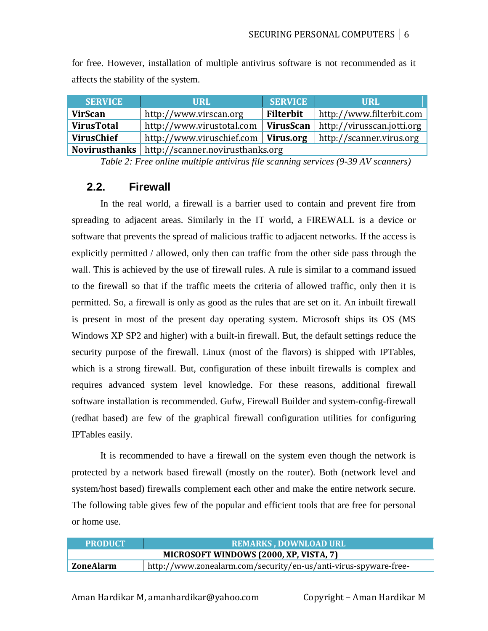for free. However, installation of multiple antivirus software is not recommended as it affects the stability of the system.

| <b>SERVICE</b>    | <b>URL</b>                                                                | <b>SERVICE</b>   | URL                      |  |  |  |  |
|-------------------|---------------------------------------------------------------------------|------------------|--------------------------|--|--|--|--|
| <b>VirScan</b>    | http://www.virscan.org                                                    | <b>Filterbit</b> | http://www.filterbit.com |  |  |  |  |
| <b>VirusTotal</b> | http://www.virustotal.com   <b>VirusScan</b>   http://virusscan.jotti.org |                  |                          |  |  |  |  |
| VirusChief        | http://www.viruschief.com   Virus.org                                     |                  | http://scanner.virus.org |  |  |  |  |
|                   | Novirusthanks   http://scanner.novirusthanks.org                          |                  |                          |  |  |  |  |

*Table 2: Free online multiple antivirus file scanning services (9-39 AV scanners)*

### **2.2. Firewall**

In the real world, a firewall is a barrier used to contain and prevent fire from spreading to adjacent areas. Similarly in the IT world, a FIREWALL is a device or software that prevents the spread of malicious traffic to adjacent networks. If the access is explicitly permitted / allowed, only then can traffic from the other side pass through the wall. This is achieved by the use of firewall rules. A rule is similar to a command issued to the firewall so that if the traffic meets the criteria of allowed traffic, only then it is permitted. So, a firewall is only as good as the rules that are set on it. An inbuilt firewall is present in most of the present day operating system. Microsoft ships its OS (MS Windows XP SP2 and higher) with a built-in firewall. But, the default settings reduce the security purpose of the firewall. Linux (most of the flavors) is shipped with IPTables, which is a strong firewall. But, configuration of these inbuilt firewalls is complex and requires advanced system level knowledge. For these reasons, additional firewall software installation is recommended. Gufw, Firewall Builder and system-config-firewall (redhat based) are few of the graphical firewall configuration utilities for configuring IPTables easily.

It is recommended to have a firewall on the system even though the network is protected by a network based firewall (mostly on the router). Both (network level and system/host based) firewalls complement each other and make the entire network secure. The following table gives few of the popular and efficient tools that are free for personal or home use.

| <b>PRODUCT</b>                         | <b>REMARKS, DOWNLOAD URL</b>                                     |  |  |  |  |
|----------------------------------------|------------------------------------------------------------------|--|--|--|--|
| MICROSOFT WINDOWS (2000, XP, VISTA, 7) |                                                                  |  |  |  |  |
| ZoneAlarm                              | http://www.zonealarm.com/security/en-us/anti-virus-spyware-free- |  |  |  |  |

Aman Hardikar M, amanhardikar@yahoo.com Copyright – Aman Hardikar M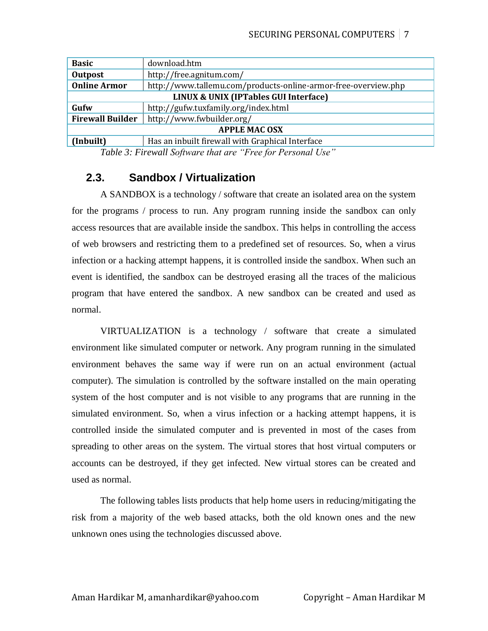| <b>Basic</b>                                     | download.htm                                                   |  |  |  |
|--------------------------------------------------|----------------------------------------------------------------|--|--|--|
| <b>Outpost</b>                                   | http://free.agnitum.com/                                       |  |  |  |
| <b>Online Armor</b>                              | http://www.tallemu.com/products-online-armor-free-overview.php |  |  |  |
| <b>LINUX &amp; UNIX (IPTables GUI Interface)</b> |                                                                |  |  |  |
| Gufw                                             | http://gufw.tuxfamily.org/index.html                           |  |  |  |
| <b>Firewall Builder</b>                          | http://www.fwbuilder.org/                                      |  |  |  |
| <b>APPLE MAC OSX</b>                             |                                                                |  |  |  |
| (Inbuilt)                                        | Has an inbuilt firewall with Graphical Interface               |  |  |  |

*Table 3: Firewall Software that are "Free for Personal Use"*

### **2.3. Sandbox / Virtualization**

A SANDBOX is a technology / software that create an isolated area on the system for the programs / process to run. Any program running inside the sandbox can only access resources that are available inside the sandbox. This helps in controlling the access of web browsers and restricting them to a predefined set of resources. So, when a virus infection or a hacking attempt happens, it is controlled inside the sandbox. When such an event is identified, the sandbox can be destroyed erasing all the traces of the malicious program that have entered the sandbox. A new sandbox can be created and used as normal.

VIRTUALIZATION is a technology / software that create a simulated environment like simulated computer or network. Any program running in the simulated environment behaves the same way if were run on an actual environment (actual computer). The simulation is controlled by the software installed on the main operating system of the host computer and is not visible to any programs that are running in the simulated environment. So, when a virus infection or a hacking attempt happens, it is controlled inside the simulated computer and is prevented in most of the cases from spreading to other areas on the system. The virtual stores that host virtual computers or accounts can be destroyed, if they get infected. New virtual stores can be created and used as normal.

The following tables lists products that help home users in reducing/mitigating the risk from a majority of the web based attacks, both the old known ones and the new unknown ones using the technologies discussed above.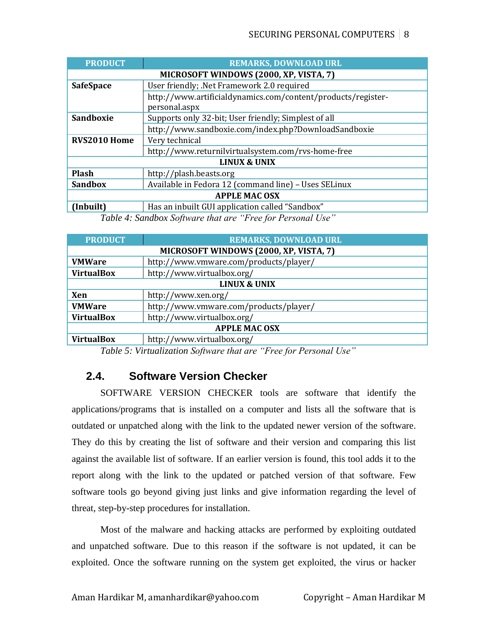| <b>PRODUCT</b>                | <b>REMARKS, DOWNLOAD URL</b>                                                  |  |  |  |  |  |
|-------------------------------|-------------------------------------------------------------------------------|--|--|--|--|--|
|                               | MICROSOFT WINDOWS (2000, XP, VISTA, 7)                                        |  |  |  |  |  |
| <b>SafeSpace</b>              | User friendly; .Net Framework 2.0 required                                    |  |  |  |  |  |
|                               | http://www.artificialdynamics.com/content/products/register-<br>personal.aspx |  |  |  |  |  |
| Sandboxie                     | Supports only 32-bit; User friendly; Simplest of all                          |  |  |  |  |  |
|                               | http://www.sandboxie.com/index.php?DownloadSandboxie                          |  |  |  |  |  |
| RVS2010 Home                  | Very technical                                                                |  |  |  |  |  |
|                               | http://www.returnilvirtualsystem.com/rvs-home-free                            |  |  |  |  |  |
|                               | <b>LINUX &amp; UNIX</b>                                                       |  |  |  |  |  |
| <b>Plash</b>                  | http://plash.beasts.org                                                       |  |  |  |  |  |
| <b>Sandbox</b>                | Available in Fedora 12 (command line) - Uses SELinux                          |  |  |  |  |  |
| <b>APPLE MAC OSX</b>          |                                                                               |  |  |  |  |  |
| (Inbuilt)                     | Has an inbuilt GUI application called "Sandbox"                               |  |  |  |  |  |
| 7011 1011 001 1. UT OD 111 11 |                                                                               |  |  |  |  |  |

*Table 4: Sandbox Software that are "Free for Personal Use"*

| <b>PRODUCT</b>                         | <b>REMARKS, DOWNLOAD URL</b>           |  |  |  |  |  |
|----------------------------------------|----------------------------------------|--|--|--|--|--|
| MICROSOFT WINDOWS (2000, XP, VISTA, 7) |                                        |  |  |  |  |  |
| <b>VMWare</b>                          | http://www.vmware.com/products/player/ |  |  |  |  |  |
| <b>VirtualBox</b>                      | http://www.virtualbox.org/             |  |  |  |  |  |
| <b>LINUX &amp; UNIX</b>                |                                        |  |  |  |  |  |
| Xen                                    | http://www.xen.org/                    |  |  |  |  |  |
| <b>VMWare</b>                          | http://www.vmware.com/products/player/ |  |  |  |  |  |
| <b>VirtualBox</b>                      | http://www.virtualbox.org/             |  |  |  |  |  |
| <b>APPLE MAC OSX</b>                   |                                        |  |  |  |  |  |
| <b>VirtualDov</b>                      | http://www.virtualkov.org/             |  |  |  |  |  |

**VirtualBox** http://www.virtualbox.org/

*Table 5: Virtualization Software that are "Free for Personal Use"*

## **2.4. Software Version Checker**

SOFTWARE VERSION CHECKER tools are software that identify the applications/programs that is installed on a computer and lists all the software that is outdated or unpatched along with the link to the updated newer version of the software. They do this by creating the list of software and their version and comparing this list against the available list of software. If an earlier version is found, this tool adds it to the report along with the link to the updated or patched version of that software. Few software tools go beyond giving just links and give information regarding the level of threat, step-by-step procedures for installation.

Most of the malware and hacking attacks are performed by exploiting outdated and unpatched software. Due to this reason if the software is not updated, it can be exploited. Once the software running on the system get exploited, the virus or hacker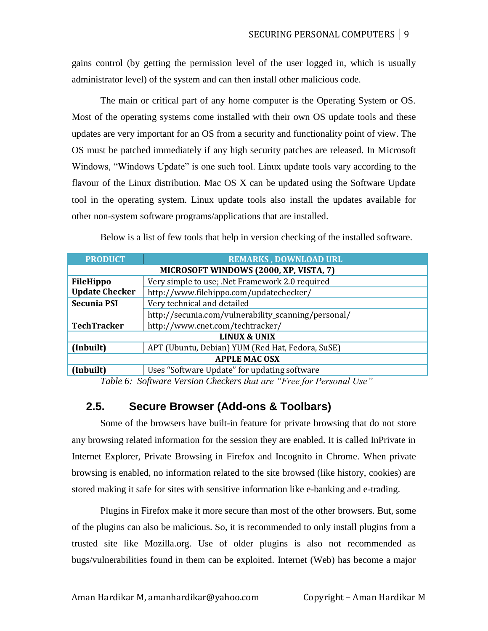gains control (by getting the permission level of the user logged in, which is usually administrator level) of the system and can then install other malicious code.

The main or critical part of any home computer is the Operating System or OS. Most of the operating systems come installed with their own OS update tools and these updates are very important for an OS from a security and functionality point of view. The OS must be patched immediately if any high security patches are released. In Microsoft Windows, "Windows Update" is one such tool. Linux update tools vary according to the flavour of the Linux distribution. Mac OS X can be updated using the Software Update tool in the operating system. Linux update tools also install the updates available for other non-system software programs/applications that are installed.

| Below is a list of few tools that help in version checking of the installed software. |
|---------------------------------------------------------------------------------------|
|                                                                                       |

| <b>PRODUCT</b>          | <b>REMARKS, DOWNLOAD URL</b>                        |  |  |  |  |  |
|-------------------------|-----------------------------------------------------|--|--|--|--|--|
|                         | MICROSOFT WINDOWS (2000, XP, VISTA, 7)              |  |  |  |  |  |
| <b>FileHippo</b>        | Very simple to use; .Net Framework 2.0 required     |  |  |  |  |  |
| <b>Update Checker</b>   | http://www.filehippo.com/updatechecker/             |  |  |  |  |  |
| <b>Secunia PSI</b>      | Very technical and detailed                         |  |  |  |  |  |
|                         | http://secunia.com/vulnerability_scanning/personal/ |  |  |  |  |  |
| <b>TechTracker</b>      | http://www.cnet.com/techtracker/                    |  |  |  |  |  |
| <b>LINUX &amp; UNIX</b> |                                                     |  |  |  |  |  |
| (Inbuilt)               | APT (Ubuntu, Debian) YUM (Red Hat, Fedora, SuSE)    |  |  |  |  |  |
| <b>APPLE MAC OSX</b>    |                                                     |  |  |  |  |  |
| (Inbuilt)               | Uses "Software Update" for updating software        |  |  |  |  |  |

*Table 6: Software Version Checkers that are "Free for Personal Use"*

## **2.5. Secure Browser (Add-ons & Toolbars)**

Some of the browsers have built-in feature for private browsing that do not store any browsing related information for the session they are enabled. It is called InPrivate in Internet Explorer, Private Browsing in Firefox and Incognito in Chrome. When private browsing is enabled, no information related to the site browsed (like history, cookies) are stored making it safe for sites with sensitive information like e-banking and e-trading.

Plugins in Firefox make it more secure than most of the other browsers. But, some of the plugins can also be malicious. So, it is recommended to only install plugins from a trusted site like Mozilla.org. Use of older plugins is also not recommended as bugs/vulnerabilities found in them can be exploited. Internet (Web) has become a major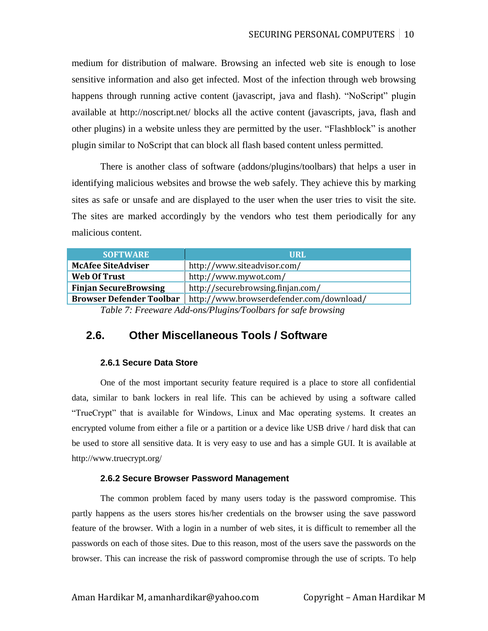medium for distribution of malware. Browsing an infected web site is enough to lose sensitive information and also get infected. Most of the infection through web browsing happens through running active content (javascript, java and flash). "NoScript" plugin available at http://noscript.net/ blocks all the active content (javascripts, java, flash and other plugins) in a website unless they are permitted by the user. "Flashblock" is another plugin similar to NoScript that can block all flash based content unless permitted.

There is another class of software (addons/plugins/toolbars) that helps a user in identifying malicious websites and browse the web safely. They achieve this by marking sites as safe or unsafe and are displayed to the user when the user tries to visit the site. The sites are marked accordingly by the vendors who test them periodically for any malicious content.

| <b>SOFTWARE</b>                 | <b>URL</b>                                                   |
|---------------------------------|--------------------------------------------------------------|
| <b>McAfee SiteAdviser</b>       | http://www.siteadvisor.com/                                  |
| <b>Web Of Trust</b>             | http://www.mywot.com/                                        |
| <b>Finjan SecureBrowsing</b>    | http://securebrowsing.finjan.com/                            |
| <b>Browser Defender Toolbar</b> | http://www.browserdefender.com/download/                     |
|                                 | Table 7: Freeware Add-ons/Plugins/Toolbars for safe browsing |

*Table 7: Freeware Add-ons/Plugins/Toolbars for safe browsing*

### **2.6. Other Miscellaneous Tools / Software**

#### **2.6.1 Secure Data Store**

One of the most important security feature required is a place to store all confidential data, similar to bank lockers in real life. This can be achieved by using a software called "TrueCrypt" that is available for Windows, Linux and Mac operating systems. It creates an encrypted volume from either a file or a partition or a device like USB drive / hard disk that can be used to store all sensitive data. It is very easy to use and has a simple GUI. It is available at http://www.truecrypt.org/

#### **2.6.2 Secure Browser Password Management**

The common problem faced by many users today is the password compromise. This partly happens as the users stores his/her credentials on the browser using the save password feature of the browser. With a login in a number of web sites, it is difficult to remember all the passwords on each of those sites. Due to this reason, most of the users save the passwords on the browser. This can increase the risk of password compromise through the use of scripts. To help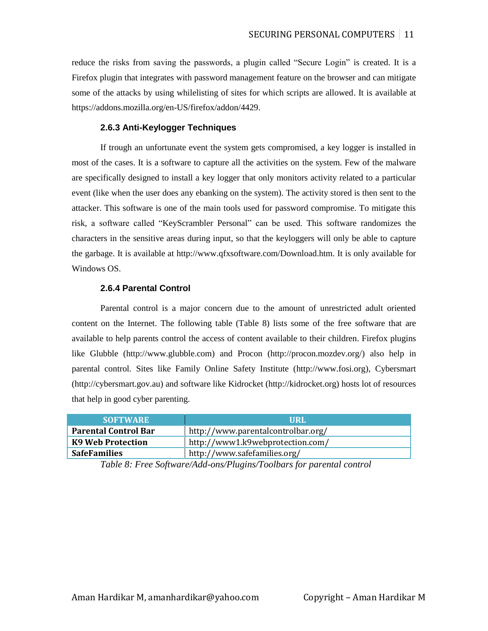reduce the risks from saving the passwords, a plugin called "Secure Login" is created. It is a Firefox plugin that integrates with password management feature on the browser and can mitigate some of the attacks by using whilelisting of sites for which scripts are allowed. It is available at https://addons.mozilla.org/en-US/firefox/addon/4429.

#### **2.6.3 Anti-Keylogger Techniques**

If trough an unfortunate event the system gets compromised, a key logger is installed in most of the cases. It is a software to capture all the activities on the system. Few of the malware are specifically designed to install a key logger that only monitors activity related to a particular event (like when the user does any ebanking on the system). The activity stored is then sent to the attacker. This software is one of the main tools used for password compromise. To mitigate this risk, a software called "KeyScrambler Personal" can be used. This software randomizes the characters in the sensitive areas during input, so that the keyloggers will only be able to capture the garbage. It is available at http://www.qfxsoftware.com/Download.htm. It is only available for Windows OS.

#### **2.6.4 Parental Control**

Parental control is a major concern due to the amount of unrestricted adult oriented content on the Internet. The following table (Table 8) lists some of the free software that are available to help parents control the access of content available to their children. Firefox plugins like Glubble (http://www.glubble.com) and Procon (http://procon.mozdev.org/) also help in parental control. Sites like Family Online Safety Institute [\(http://www.fosi.org\)](http://www.fosi.org/), Cybersmart [\(http://cybersmart.gov.au\)](http://cybersmart.gov.au/) and software like Kidrocket (http://kidrocket.org) hosts lot of resources that help in good cyber parenting.

| <b>SOFTWARE</b>             | URL                                |
|-----------------------------|------------------------------------|
| <b>Parental Control Bar</b> | http://www.parentalcontrolbar.org/ |
| K9 Web Protection           | http://www1.k9webprotection.com/   |
| <b>SafeFamilies</b>         | http://www.safefamilies.org/       |

*Table 8: Free Software/Add-ons/Plugins/Toolbars for parental control*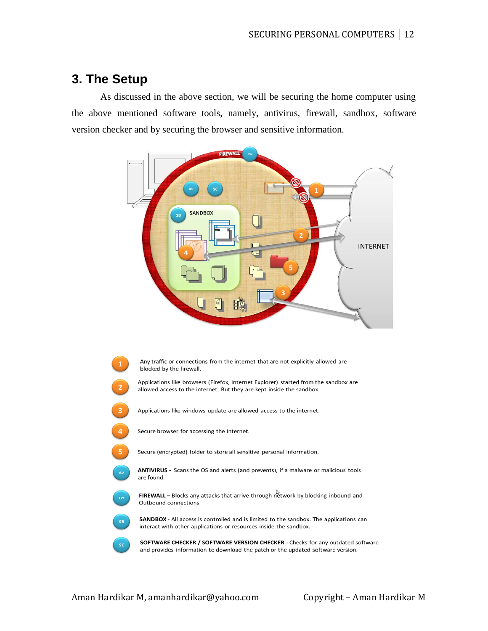# **3. The Setup**

As discussed in the above section, we will be securing the home computer using the above mentioned software tools, namely, antivirus, firewall, sandbox, software version checker and by securing the browser and sensitive information.



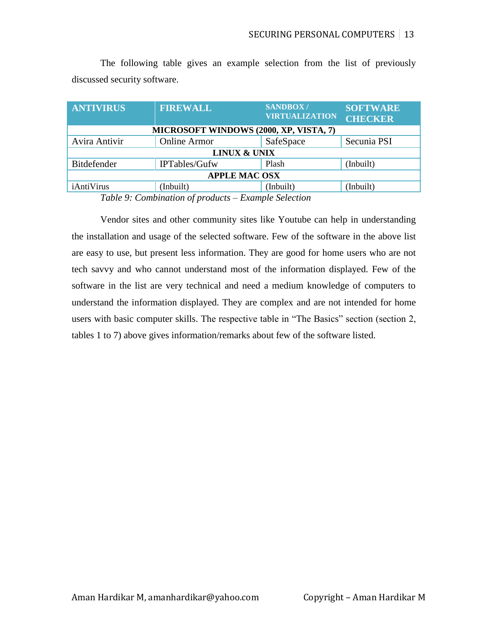|                              |  |  |  |  |  | The following table gives an example selection from the list of previously |
|------------------------------|--|--|--|--|--|----------------------------------------------------------------------------|
| discussed security software. |  |  |  |  |  |                                                                            |

| <b>ANTIVIRUS</b>                       | <b>FIREWALL</b>     | <b>SANDBOX/</b><br><b>VIRTUALIZATION</b> | <b>SOFTWARE</b><br><b>CHECKER</b> |  |  |  |  |
|----------------------------------------|---------------------|------------------------------------------|-----------------------------------|--|--|--|--|
| MICROSOFT WINDOWS (2000, XP, VISTA, 7) |                     |                                          |                                   |  |  |  |  |
| Avira Antivir                          | <b>Online Armor</b> | SafeSpace                                | Secunia PSI                       |  |  |  |  |
| <b>LINUX &amp; UNIX</b>                |                     |                                          |                                   |  |  |  |  |
| Bitdefender                            | IPTables/Gufw       | Plash                                    | (Inbuilt)                         |  |  |  |  |
| <b>APPLE MAC OSX</b>                   |                     |                                          |                                   |  |  |  |  |
| iAntiVirus                             | (Inbuilt)           | (Inbuilt)                                | (Inbuilt)                         |  |  |  |  |

*Table 9: Combination of products – Example Selection*

Vendor sites and other community sites like Youtube can help in understanding the installation and usage of the selected software. Few of the software in the above list are easy to use, but present less information. They are good for home users who are not tech savvy and who cannot understand most of the information displayed. Few of the software in the list are very technical and need a medium knowledge of computers to understand the information displayed. They are complex and are not intended for home users with basic computer skills. The respective table in "The Basics" section (section 2, tables 1 to 7) above gives information/remarks about few of the software listed.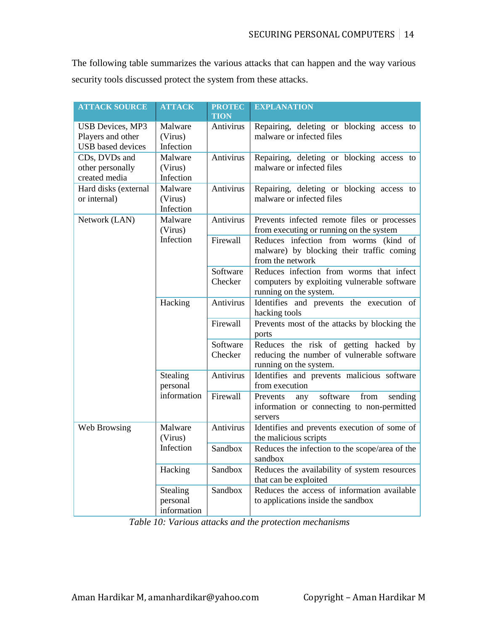The following table summarizes the various attacks that can happen and the way various security tools discussed protect the system from these attacks.

| <b>ATTACK SOURCE</b>                                                     | <b>ATTACK</b>                       | <b>PROTEC</b><br><b>TION</b> | <b>EXPLANATION</b>                                                                                                |
|--------------------------------------------------------------------------|-------------------------------------|------------------------------|-------------------------------------------------------------------------------------------------------------------|
| <b>USB Devices, MP3</b><br>Players and other<br><b>USB</b> based devices | Malware<br>(Virus)<br>Infection     | Antivirus                    | Repairing, deleting or blocking access to<br>malware or infected files                                            |
| CDs, DVDs and<br>other personally<br>created media                       | Malware<br>(Virus)<br>Infection     | Antivirus                    | Repairing, deleting or blocking access to<br>malware or infected files                                            |
| Hard disks (external<br>or internal)                                     | Malware<br>(Virus)<br>Infection     | Antivirus                    | Repairing, deleting or blocking access to<br>malware or infected files                                            |
| Network (LAN)                                                            | Malware<br>(Virus)                  | Antivirus                    | Prevents infected remote files or processes<br>from executing or running on the system                            |
|                                                                          | Infection                           | Firewall                     | Reduces infection from worms (kind<br>of<br>malware) by blocking their traffic coming<br>from the network         |
|                                                                          |                                     | Software<br>Checker          | Reduces infection from worms that infect<br>computers by exploiting vulnerable software<br>running on the system. |
|                                                                          | Hacking                             | Antivirus                    | Identifies and prevents the execution of<br>hacking tools                                                         |
|                                                                          |                                     | Firewall                     | Prevents most of the attacks by blocking the<br>ports                                                             |
|                                                                          |                                     | Software<br>Checker          | Reduces the risk of getting hacked by<br>reducing the number of vulnerable software<br>running on the system.     |
|                                                                          | Stealing<br>personal                | Antivirus                    | Identifies and prevents malicious software<br>from execution                                                      |
|                                                                          | information                         | Firewall                     | software<br>from<br>sending<br>Prevents<br>any<br>information or connecting to non-permitted<br>servers           |
| Web Browsing                                                             | Malware<br>(Virus)                  | Antivirus                    | Identifies and prevents execution of some of<br>the malicious scripts                                             |
|                                                                          | Infection                           | Sandbox                      | Reduces the infection to the scope/area of the<br>sandbox                                                         |
|                                                                          | Hacking                             | Sandbox                      | Reduces the availability of system resources<br>that can be exploited                                             |
|                                                                          | Stealing<br>personal<br>information | Sandbox                      | Reduces the access of information available<br>to applications inside the sandbox                                 |

*Table 10: Various attacks and the protection mechanisms*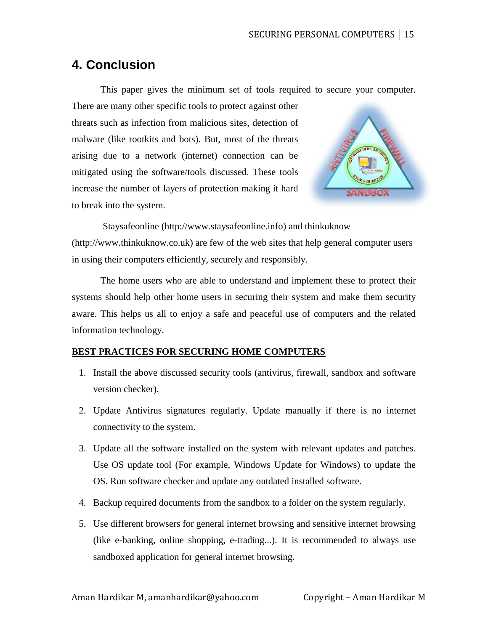# **4. Conclusion**

This paper gives the minimum set of tools required to secure your computer.

There are many other specific tools to protect against other threats such as infection from malicious sites, detection of malware (like rootkits and bots). But, most of the threats arising due to a network (internet) connection can be mitigated using the software/tools discussed. These tools increase the number of layers of protection making it hard to break into the system.



Staysafeonline (http://www.staysafeonline.info) and thinkuknow (http://www.thinkuknow.co.uk) are few of the web sites that help general computer users in using their computers efficiently, securely and responsibly.

The home users who are able to understand and implement these to protect their systems should help other home users in securing their system and make them security aware. This helps us all to enjoy a safe and peaceful use of computers and the related information technology.

### **BEST PRACTICES FOR SECURING HOME COMPUTERS**

- 1. Install the above discussed security tools (antivirus, firewall, sandbox and software version checker).
- 2. Update Antivirus signatures regularly. Update manually if there is no internet connectivity to the system.
- 3. Update all the software installed on the system with relevant updates and patches. Use OS update tool (For example, Windows Update for Windows) to update the OS. Run software checker and update any outdated installed software.
- 4. Backup required documents from the sandbox to a folder on the system regularly.
- 5. Use different browsers for general internet browsing and sensitive internet browsing (like e-banking, online shopping, e-trading...). It is recommended to always use sandboxed application for general internet browsing.